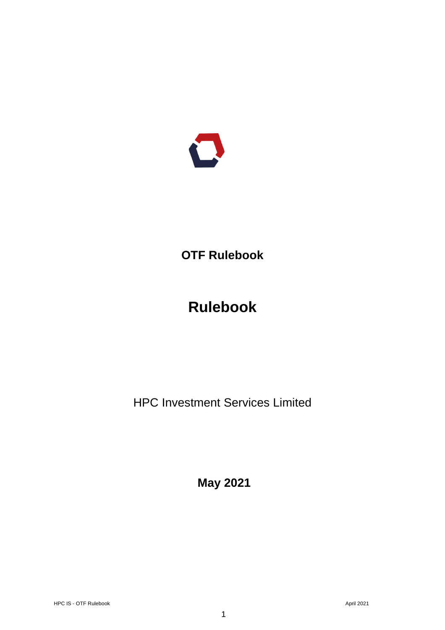

# **OTF Rulebook**

# **Rulebook**

HPC Investment Services Limited

**May 2021**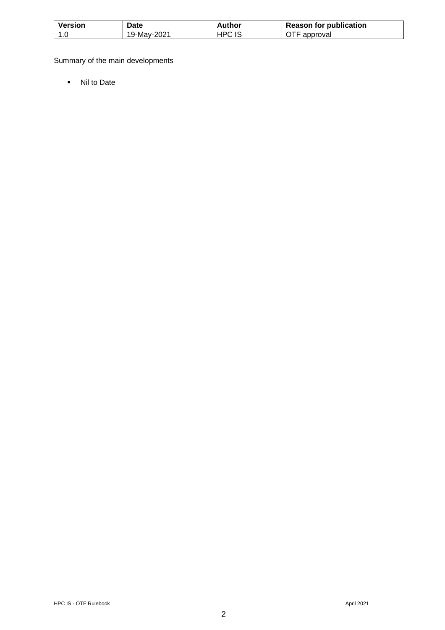| <b>Version</b> | Date                      | Author     | <b>Reason for publication</b> |
|----------------|---------------------------|------------|-------------------------------|
| ט. ו           | 2021                      | ∩ח∟        | approval                      |
|                | $19$ -May- $\overline{ }$ | $\epsilon$ |                               |

Summary of the main developments

▪ Nil to Date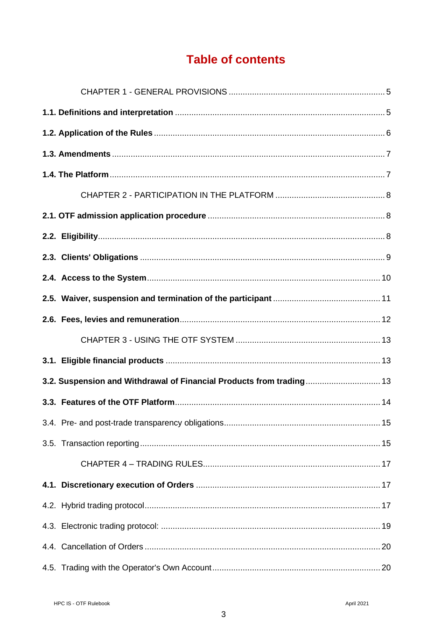## **Table of contents**

| 3.2. Suspension and Withdrawal of Financial Products from trading 13 |  |
|----------------------------------------------------------------------|--|
|                                                                      |  |
|                                                                      |  |
|                                                                      |  |
|                                                                      |  |
|                                                                      |  |
|                                                                      |  |
|                                                                      |  |
|                                                                      |  |
|                                                                      |  |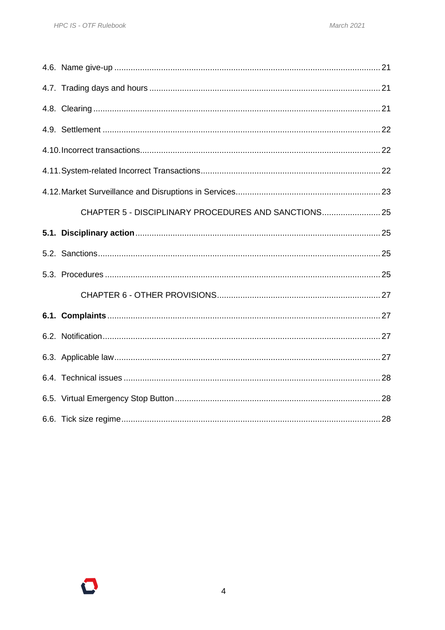| CHAPTER 5 - DISCIPLINARY PROCEDURES AND SANCTIONS 25 |  |
|------------------------------------------------------|--|
|                                                      |  |
|                                                      |  |
|                                                      |  |
|                                                      |  |
|                                                      |  |
|                                                      |  |
|                                                      |  |
|                                                      |  |
|                                                      |  |
|                                                      |  |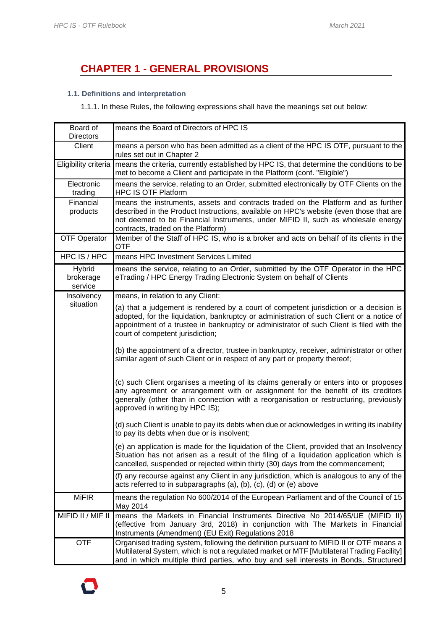### <span id="page-4-0"></span>**CHAPTER 1 - GENERAL PROVISIONS**

#### <span id="page-4-1"></span>**1.1. Definitions and interpretation**

1.1.1. In these Rules, the following expressions shall have the meanings set out below:

| Board of<br><b>Directors</b>   | means the Board of Directors of HPC IS                                                                                                                                                                                                                                                                             |  |  |
|--------------------------------|--------------------------------------------------------------------------------------------------------------------------------------------------------------------------------------------------------------------------------------------------------------------------------------------------------------------|--|--|
| Client                         | means a person who has been admitted as a client of the HPC IS OTF, pursuant to the<br>rules set out in Chapter 2                                                                                                                                                                                                  |  |  |
| Eligibility criteria           | means the criteria, currently established by HPC IS, that determine the conditions to be<br>met to become a Client and participate in the Platform (conf. "Eligible")                                                                                                                                              |  |  |
| Electronic<br>trading          | means the service, relating to an Order, submitted electronically by OTF Clients on the<br><b>HPC IS OTF Platform</b>                                                                                                                                                                                              |  |  |
| Financial<br>products          | means the instruments, assets and contracts traded on the Platform and as further<br>described in the Product Instructions, available on HPC's website (even those that are<br>not deemed to be Financial Instruments, under MIFID II, such as wholesale energy<br>contracts, traded on the Platform)              |  |  |
| <b>OTF Operator</b>            | Member of the Staff of HPC IS, who is a broker and acts on behalf of its clients in the<br><b>OTF</b>                                                                                                                                                                                                              |  |  |
| HPC IS / HPC                   | means HPC Investment Services Limited                                                                                                                                                                                                                                                                              |  |  |
| Hybrid<br>brokerage<br>service | means the service, relating to an Order, submitted by the OTF Operator in the HPC<br>eTrading / HPC Energy Trading Electronic System on behalf of Clients                                                                                                                                                          |  |  |
| Insolvency                     | means, in relation to any Client:                                                                                                                                                                                                                                                                                  |  |  |
| situation                      | (a) that a judgement is rendered by a court of competent jurisdiction or a decision is<br>adopted, for the liquidation, bankruptcy or administration of such Client or a notice of<br>appointment of a trustee in bankruptcy or administrator of such Client is filed with the<br>court of competent jurisdiction; |  |  |
|                                | (b) the appointment of a director, trustee in bankruptcy, receiver, administrator or other<br>similar agent of such Client or in respect of any part or property thereof;                                                                                                                                          |  |  |
|                                | (c) such Client organises a meeting of its claims generally or enters into or proposes<br>any agreement or arrangement with or assignment for the benefit of its creditors<br>generally (other than in connection with a reorganisation or restructuring, previously<br>approved in writing by HPC IS);            |  |  |
|                                | (d) such Client is unable to pay its debts when due or acknowledges in writing its inability<br>to pay its debts when due or is insolvent;                                                                                                                                                                         |  |  |
|                                | (e) an application is made for the liquidation of the Client, provided that an Insolvency<br>Situation has not arisen as a result of the filing of a liquidation application which is<br>cancelled, suspended or rejected within thirty (30) days from the commencement;                                           |  |  |
|                                | (f) any recourse against any Client in any jurisdiction, which is analogous to any of the<br>acts referred to in subparagraphs (a), (b), (c), (d) or (e) above                                                                                                                                                     |  |  |
| <b>MiFIR</b>                   | means the regulation No 600/2014 of the European Parliament and of the Council of 15<br>May 2014                                                                                                                                                                                                                   |  |  |
| MIFID II / MIF II              | means the Markets in Financial Instruments Directive No 2014/65/UE (MIFID II)<br>(effective from January 3rd, 2018) in conjunction with The Markets in Financial<br>Instruments (Amendment) (EU Exit) Regulations 2018                                                                                             |  |  |
| <b>OTF</b>                     | Organised trading system, following the definition pursuant to MIFID II or OTF means a<br>Multilateral System, which is not a regulated market or MTF [Multilateral Trading Facility]<br>and in which multiple third parties, who buy and sell interests in Bonds, Structured                                      |  |  |

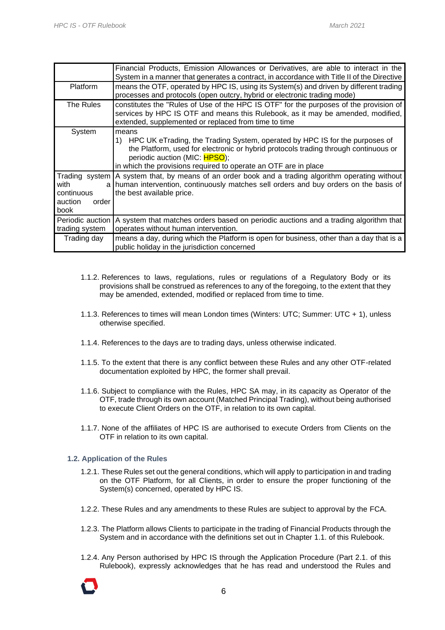|                                                | Financial Products, Emission Allowances or Derivatives, are able to interact in the<br>System in a manner that generates a contract, in accordance with Title II of the Directive                                                                                                     |
|------------------------------------------------|---------------------------------------------------------------------------------------------------------------------------------------------------------------------------------------------------------------------------------------------------------------------------------------|
| <b>Platform</b>                                | means the OTF, operated by HPC IS, using its System(s) and driven by different trading<br>processes and protocols (open outcry, hybrid or electronic trading mode)                                                                                                                    |
| The Rules                                      | constitutes the "Rules of Use of the HPC IS OTF" for the purposes of the provision of<br>services by HPC IS OTF and means this Rulebook, as it may be amended, modified,<br>extended, supplemented or replaced from time to time                                                      |
| System                                         | means<br>HPC UK eTrading, the Trading System, operated by HPC IS for the purposes of<br>1)<br>the Platform, used for electronic or hybrid protocols trading through continuous or<br>periodic auction (MIC: HPSO);<br>in which the provisions required to operate an OTF are in place |
| with<br>continuous<br>auction<br>order<br>book | Trading system A system that, by means of an order book and a trading algorithm operating without<br>a human intervention, continuously matches sell orders and buy orders on the basis of<br>the best available price.                                                               |
| Periodic auction<br>trading system             | A system that matches orders based on periodic auctions and a trading algorithm that<br>operates without human intervention.                                                                                                                                                          |
| Trading day                                    | means a day, during which the Platform is open for business, other than a day that is a<br>public holiday in the jurisdiction concerned                                                                                                                                               |

- 1.1.2. References to laws, regulations, rules or regulations of a Regulatory Body or its provisions shall be construed as references to any of the foregoing, to the extent that they may be amended, extended, modified or replaced from time to time.
- 1.1.3. References to times will mean London times (Winters: UTC; Summer: UTC + 1), unless otherwise specified.
- 1.1.4. References to the days are to trading days, unless otherwise indicated.
- 1.1.5. To the extent that there is any conflict between these Rules and any other OTF-related documentation exploited by HPC, the former shall prevail.
- 1.1.6. Subject to compliance with the Rules, HPC SA may, in its capacity as Operator of the OTF, trade through its own account (Matched Principal Trading), without being authorised to execute Client Orders on the OTF, in relation to its own capital.
- 1.1.7. None of the affiliates of HPC IS are authorised to execute Orders from Clients on the OTF in relation to its own capital.

#### <span id="page-5-0"></span>**1.2. Application of the Rules**

- 1.2.1. These Rules set out the general conditions, which will apply to participation in and trading on the OTF Platform, for all Clients, in order to ensure the proper functioning of the System(s) concerned, operated by HPC IS.
- 1.2.2. These Rules and any amendments to these Rules are subject to approval by the FCA.
- 1.2.3. The Platform allows Clients to participate in the trading of Financial Products through the System and in accordance with the definitions set out in Chapter 1.1. of this Rulebook.
- 1.2.4. Any Person authorised by HPC IS through the Application Procedure (Part 2.1. of this Rulebook), expressly acknowledges that he has read and understood the Rules and

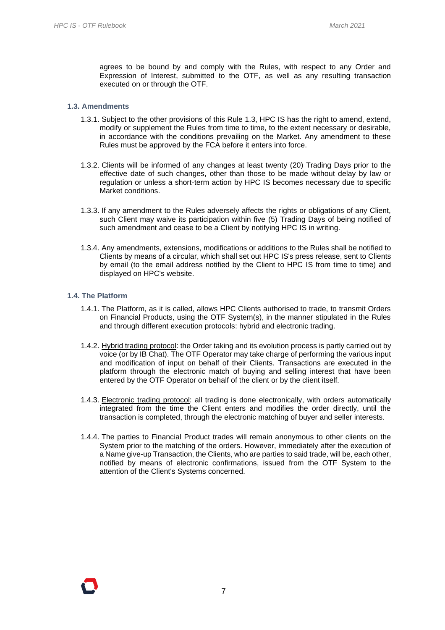agrees to be bound by and comply with the Rules, with respect to any Order and Expression of Interest, submitted to the OTF, as well as any resulting transaction executed on or through the OTF.

#### <span id="page-6-0"></span>**1.3. Amendments**

- 1.3.1. Subject to the other provisions of this Rule 1.3, HPC IS has the right to amend, extend, modify or supplement the Rules from time to time, to the extent necessary or desirable, in accordance with the conditions prevailing on the Market. Any amendment to these Rules must be approved by the FCA before it enters into force.
- 1.3.2. Clients will be informed of any changes at least twenty (20) Trading Days prior to the effective date of such changes, other than those to be made without delay by law or regulation or unless a short-term action by HPC IS becomes necessary due to specific Market conditions.
- 1.3.3. If any amendment to the Rules adversely affects the rights or obligations of any Client, such Client may waive its participation within five (5) Trading Days of being notified of such amendment and cease to be a Client by notifying HPC IS in writing.
- 1.3.4. Any amendments, extensions, modifications or additions to the Rules shall be notified to Clients by means of a circular, which shall set out HPC IS's press release, sent to Clients by email (to the email address notified by the Client to HPC IS from time to time) and displayed on HPC's website.

#### <span id="page-6-1"></span>**1.4. The Platform**

- 1.4.1. The Platform, as it is called, allows HPC Clients authorised to trade, to transmit Orders on Financial Products, using the OTF System(s), in the manner stipulated in the Rules and through different execution protocols: hybrid and electronic trading.
- 1.4.2. Hybrid trading protocol: the Order taking and its evolution process is partly carried out by voice (or by IB Chat). The OTF Operator may take charge of performing the various input and modification of input on behalf of their Clients. Transactions are executed in the platform through the electronic match of buying and selling interest that have been entered by the OTF Operator on behalf of the client or by the client itself.
- 1.4.3. Electronic trading protocol: all trading is done electronically, with orders automatically integrated from the time the Client enters and modifies the order directly, until the transaction is completed, through the electronic matching of buyer and seller interests.
- 1.4.4. The parties to Financial Product trades will remain anonymous to other clients on the System prior to the matching of the orders. However, immediately after the execution of a Name give-up Transaction, the Clients, who are parties to said trade, will be, each other, notified by means of electronic confirmations, issued from the OTF System to the attention of the Client's Systems concerned.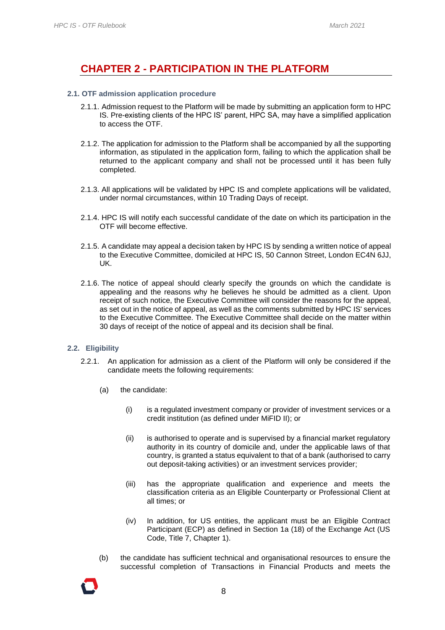### <span id="page-7-0"></span>**CHAPTER 2 - PARTICIPATION IN THE PLATFORM**

#### <span id="page-7-1"></span>**2.1. OTF admission application procedure**

- 2.1.1. Admission request to the Platform will be made by submitting an application form to HPC IS. Pre-existing clients of the HPC IS' parent, HPC SA, may have a simplified application to access the OTF.
- 2.1.2. The application for admission to the Platform shall be accompanied by all the supporting information, as stipulated in the application form, failing to which the application shall be returned to the applicant company and shall not be processed until it has been fully completed.
- 2.1.3. All applications will be validated by HPC IS and complete applications will be validated, under normal circumstances, within 10 Trading Days of receipt.
- 2.1.4. HPC IS will notify each successful candidate of the date on which its participation in the OTF will become effective.
- 2.1.5. A candidate may appeal a decision taken by HPC IS by sending a written notice of appeal to the Executive Committee, domiciled at HPC IS, 50 Cannon Street, London EC4N 6JJ, UK.
- 2.1.6. The notice of appeal should clearly specify the grounds on which the candidate is appealing and the reasons why he believes he should be admitted as a client. Upon receipt of such notice, the Executive Committee will consider the reasons for the appeal, as set out in the notice of appeal, as well as the comments submitted by HPC IS' services to the Executive Committee. The Executive Committee shall decide on the matter within 30 days of receipt of the notice of appeal and its decision shall be final.

#### <span id="page-7-2"></span>**2.2. Eligibility**

- 2.2.1. An application for admission as a client of the Platform will only be considered if the candidate meets the following requirements:
	- (a) the candidate:
		- (i) is a regulated investment company or provider of investment services or a credit institution (as defined under MiFID II); or
		- (ii) is authorised to operate and is supervised by a financial market regulatory authority in its country of domicile and, under the applicable laws of that country, is granted a status equivalent to that of a bank (authorised to carry out deposit-taking activities) or an investment services provider;
		- (iii) has the appropriate qualification and experience and meets the classification criteria as an Eligible Counterparty or Professional Client at all times; or
		- (iv) In addition, for US entities, the applicant must be an Eligible Contract Participant (ECP) as defined in Section 1a (18) of the Exchange Act (US Code, Title 7, Chapter 1).
	- (b) the candidate has sufficient technical and organisational resources to ensure the successful completion of Transactions in Financial Products and meets the

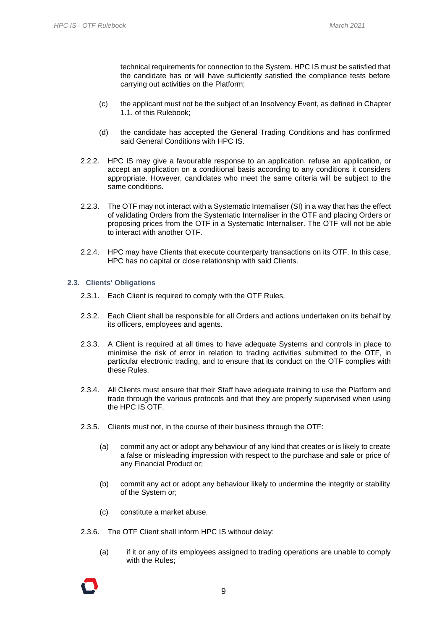technical requirements for connection to the System. HPC IS must be satisfied that the candidate has or will have sufficiently satisfied the compliance tests before carrying out activities on the Platform;

- (c) the applicant must not be the subject of an Insolvency Event, as defined in Chapter 1.1. of this Rulebook;
- (d) the candidate has accepted the General Trading Conditions and has confirmed said General Conditions with HPC IS.
- 2.2.2. HPC IS may give a favourable response to an application, refuse an application, or accept an application on a conditional basis according to any conditions it considers appropriate. However, candidates who meet the same criteria will be subject to the same conditions.
- 2.2.3. The OTF may not interact with a Systematic Internaliser (SI) in a way that has the effect of validating Orders from the Systematic Internaliser in the OTF and placing Orders or proposing prices from the OTF in a Systematic Internaliser. The OTF will not be able to interact with another OTF.
- 2.2.4. HPC may have Clients that execute counterparty transactions on its OTF. In this case, HPC has no capital or close relationship with said Clients.

#### <span id="page-8-0"></span>**2.3. Clients' Obligations**

- 2.3.1. Each Client is required to comply with the OTF Rules.
- 2.3.2. Each Client shall be responsible for all Orders and actions undertaken on its behalf by its officers, employees and agents.
- 2.3.3. A Client is required at all times to have adequate Systems and controls in place to minimise the risk of error in relation to trading activities submitted to the OTF, in particular electronic trading, and to ensure that its conduct on the OTF complies with these Rules.
- 2.3.4. All Clients must ensure that their Staff have adequate training to use the Platform and trade through the various protocols and that they are properly supervised when using the HPC IS OTF.
- 2.3.5. Clients must not, in the course of their business through the OTF:
	- (a) commit any act or adopt any behaviour of any kind that creates or is likely to create a false or misleading impression with respect to the purchase and sale or price of any Financial Product or;
	- (b) commit any act or adopt any behaviour likely to undermine the integrity or stability of the System or;
	- (c) constitute a market abuse.
- 2.3.6. The OTF Client shall inform HPC IS without delay:
	- (a) if it or any of its employees assigned to trading operations are unable to comply with the Rules;

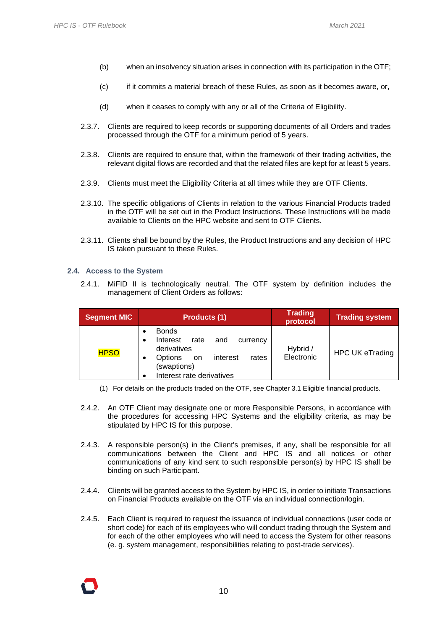- (b) when an insolvency situation arises in connection with its participation in the OTF;
- (c) if it commits a material breach of these Rules, as soon as it becomes aware, or,
- (d) when it ceases to comply with any or all of the Criteria of Eligibility.
- 2.3.7. Clients are required to keep records or supporting documents of all Orders and trades processed through the OTF for a minimum period of 5 years.
- 2.3.8. Clients are required to ensure that, within the framework of their trading activities, the relevant digital flows are recorded and that the related files are kept for at least 5 years.
- 2.3.9. Clients must meet the Eligibility Criteria at all times while they are OTF Clients.
- 2.3.10. The specific obligations of Clients in relation to the various Financial Products traded in the OTF will be set out in the Product Instructions. These Instructions will be made available to Clients on the HPC website and sent to OTF Clients.
- 2.3.11. Clients shall be bound by the Rules, the Product Instructions and any decision of HPC IS taken pursuant to these Rules.

#### <span id="page-9-0"></span>**2.4. Access to the System**

2.4.1. MiFID II is technologically neutral. The OTF system by definition includes the management of Client Orders as follows:

| <b>Segment MIC</b> | <b>Products (1)</b>                                                                                                                                         | <b>Trading</b><br>protocol | <b>Trading system</b>  |
|--------------------|-------------------------------------------------------------------------------------------------------------------------------------------------------------|----------------------------|------------------------|
| <b>HPSO</b>        | <b>Bonds</b><br>Interest<br>rate<br>and<br>currency<br>derivatives<br>Options<br>interest<br>rates<br><b>on</b><br>(swaptions)<br>Interest rate derivatives | Hybrid /<br>Electronic     | <b>HPC UK eTrading</b> |

- (1) For details on the products traded on the OTF, see Chapter 3.1 Eligible financial products.
- 2.4.2. An OTF Client may designate one or more Responsible Persons, in accordance with the procedures for accessing HPC Systems and the eligibility criteria, as may be stipulated by HPC IS for this purpose.
- 2.4.3. A responsible person(s) in the Client's premises, if any, shall be responsible for all communications between the Client and HPC IS and all notices or other communications of any kind sent to such responsible person(s) by HPC IS shall be binding on such Participant.
- 2.4.4. Clients will be granted access to the System by HPC IS, in order to initiate Transactions on Financial Products available on the OTF via an individual connection/login.
- 2.4.5. Each Client is required to request the issuance of individual connections (user code or short code) for each of its employees who will conduct trading through the System and for each of the other employees who will need to access the System for other reasons (e. g. system management, responsibilities relating to post-trade services).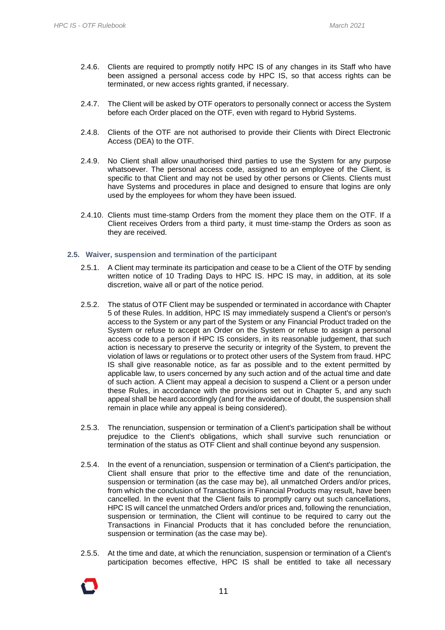- 2.4.6. Clients are required to promptly notify HPC IS of any changes in its Staff who have been assigned a personal access code by HPC IS, so that access rights can be terminated, or new access rights granted, if necessary.
- 2.4.7. The Client will be asked by OTF operators to personally connect or access the System before each Order placed on the OTF, even with regard to Hybrid Systems.
- 2.4.8. Clients of the OTF are not authorised to provide their Clients with Direct Electronic Access (DEA) to the OTF.
- 2.4.9. No Client shall allow unauthorised third parties to use the System for any purpose whatsoever. The personal access code, assigned to an employee of the Client, is specific to that Client and may not be used by other persons or Clients. Clients must have Systems and procedures in place and designed to ensure that logins are only used by the employees for whom they have been issued.
- 2.4.10. Clients must time-stamp Orders from the moment they place them on the OTF. If a Client receives Orders from a third party, it must time-stamp the Orders as soon as they are received.

#### <span id="page-10-0"></span>**2.5. Waiver, suspension and termination of the participant**

- 2.5.1. A Client may terminate its participation and cease to be a Client of the OTF by sending written notice of 10 Trading Days to HPC IS. HPC IS may, in addition, at its sole discretion, waive all or part of the notice period.
- 2.5.2. The status of OTF Client may be suspended or terminated in accordance with Chapter 5 of these Rules. In addition, HPC IS may immediately suspend a Client's or person's access to the System or any part of the System or any Financial Product traded on the System or refuse to accept an Order on the System or refuse to assign a personal access code to a person if HPC IS considers, in its reasonable judgement, that such action is necessary to preserve the security or integrity of the System, to prevent the violation of laws or regulations or to protect other users of the System from fraud. HPC IS shall give reasonable notice, as far as possible and to the extent permitted by applicable law, to users concerned by any such action and of the actual time and date of such action. A Client may appeal a decision to suspend a Client or a person under these Rules, in accordance with the provisions set out in Chapter 5, and any such appeal shall be heard accordingly (and for the avoidance of doubt, the suspension shall remain in place while any appeal is being considered).
- 2.5.3. The renunciation, suspension or termination of a Client's participation shall be without prejudice to the Client's obligations, which shall survive such renunciation or termination of the status as OTF Client and shall continue beyond any suspension.
- 2.5.4. In the event of a renunciation, suspension or termination of a Client's participation, the Client shall ensure that prior to the effective time and date of the renunciation, suspension or termination (as the case may be), all unmatched Orders and/or prices, from which the conclusion of Transactions in Financial Products may result, have been cancelled. In the event that the Client fails to promptly carry out such cancellations, HPC IS will cancel the unmatched Orders and/or prices and, following the renunciation, suspension or termination, the Client will continue to be required to carry out the Transactions in Financial Products that it has concluded before the renunciation, suspension or termination (as the case may be).
- 2.5.5. At the time and date, at which the renunciation, suspension or termination of a Client's participation becomes effective, HPC IS shall be entitled to take all necessary

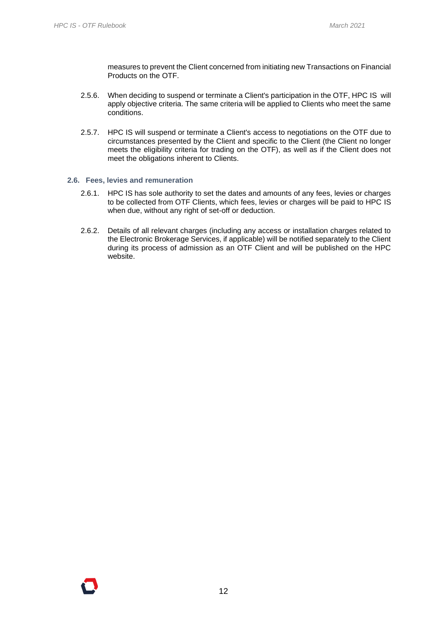measures to prevent the Client concerned from initiating new Transactions on Financial Products on the OTF.

- 2.5.6. When deciding to suspend or terminate a Client's participation in the OTF, HPC IS will apply objective criteria. The same criteria will be applied to Clients who meet the same conditions.
- 2.5.7. HPC IS will suspend or terminate a Client's access to negotiations on the OTF due to circumstances presented by the Client and specific to the Client (the Client no longer meets the eligibility criteria for trading on the OTF), as well as if the Client does not meet the obligations inherent to Clients.

#### <span id="page-11-0"></span>**2.6. Fees, levies and remuneration**

- 2.6.1. HPC IS has sole authority to set the dates and amounts of any fees, levies or charges to be collected from OTF Clients, which fees, levies or charges will be paid to HPC IS when due, without any right of set-off or deduction.
- 2.6.2. Details of all relevant charges (including any access or installation charges related to the Electronic Brokerage Services, if applicable) will be notified separately to the Client during its process of admission as an OTF Client and will be published on the HPC website.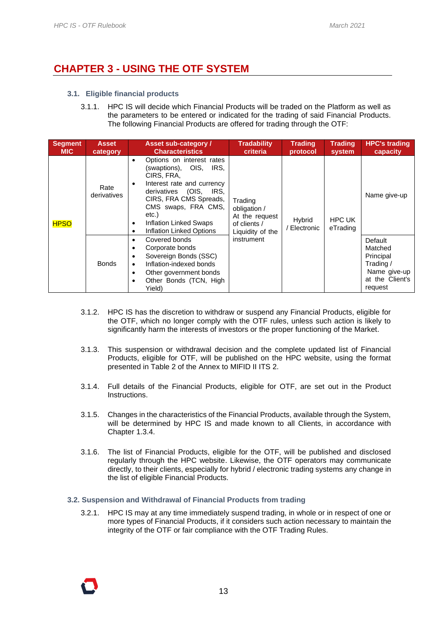### <span id="page-12-0"></span>**CHAPTER 3 - USING THE OTF SYSTEM**

- <span id="page-12-1"></span>**3.1. Eligible financial products**
	- 3.1.1. HPC IS will decide which Financial Products will be traded on the Platform as well as the parameters to be entered or indicated for the trading of said Financial Products. The following Financial Products are offered for trading through the OTF:

| <b>Segment</b><br><b>MIC</b> | <b>Asset</b><br>category | <b>Asset sub-category /</b><br><b>Characteristics</b>                                                                                                                                                                                                                    | <b>Tradability</b><br>criteria                                                | <b>Trading</b><br>protocol | <b>Trading</b><br>system  | <b>HPC's trading</b><br>capacity                                                           |
|------------------------------|--------------------------|--------------------------------------------------------------------------------------------------------------------------------------------------------------------------------------------------------------------------------------------------------------------------|-------------------------------------------------------------------------------|----------------------------|---------------------------|--------------------------------------------------------------------------------------------|
| <b>HPSO</b>                  | Rate<br>derivatives      | Options on interest rates<br>$\bullet$<br>(swaptions), OIS,<br>IRS.<br>CIRS, FRA,<br>Interest rate and currency<br>٠<br>derivatives (OIS, IRS,<br>CIRS, FRA CMS Spreads,<br>CMS swaps, FRA CMS,<br>etc.)<br>Inflation Linked Swaps<br>٠<br>Inflation Linked Options<br>٠ | Trading<br>obligation /<br>At the request<br>of clients /<br>Liquidity of the | Hybrid<br>Electronic       | <b>HPC UK</b><br>eTrading | Name give-up                                                                               |
|                              | <b>Bonds</b>             | Covered bonds<br>٠<br>Corporate bonds<br>٠<br>Sovereign Bonds (SSC)<br>٠<br>Inflation-indexed bonds<br>$\bullet$<br>Other government bonds<br>$\bullet$<br>Other Bonds (TCN, High<br>٠<br>Yield)                                                                         | instrument                                                                    |                            |                           | Default<br>Matched<br>Principal<br>Trading /<br>Name give-up<br>at the Client's<br>request |

- 3.1.2. HPC IS has the discretion to withdraw or suspend any Financial Products, eligible for the OTF, which no longer comply with the OTF rules, unless such action is likely to significantly harm the interests of investors or the proper functioning of the Market.
- 3.1.3. This suspension or withdrawal decision and the complete updated list of Financial Products, eligible for OTF, will be published on the HPC website, using the format presented in Table 2 of the Annex to MIFID II ITS 2.
- 3.1.4. Full details of the Financial Products, eligible for OTF, are set out in the Product Instructions.
- 3.1.5. Changes in the characteristics of the Financial Products, available through the System, will be determined by HPC IS and made known to all Clients, in accordance with Chapter 1.3.4.
- 3.1.6. The list of Financial Products, eligible for the OTF, will be published and disclosed regularly through the HPC website. Likewise, the OTF operators may communicate directly, to their clients, especially for hybrid / electronic trading systems any change in the list of eligible Financial Products.

#### <span id="page-12-2"></span>**3.2. Suspension and Withdrawal of Financial Products from trading**

3.2.1. HPC IS may at any time immediately suspend trading, in whole or in respect of one or more types of Financial Products, if it considers such action necessary to maintain the integrity of the OTF or fair compliance with the OTF Trading Rules.

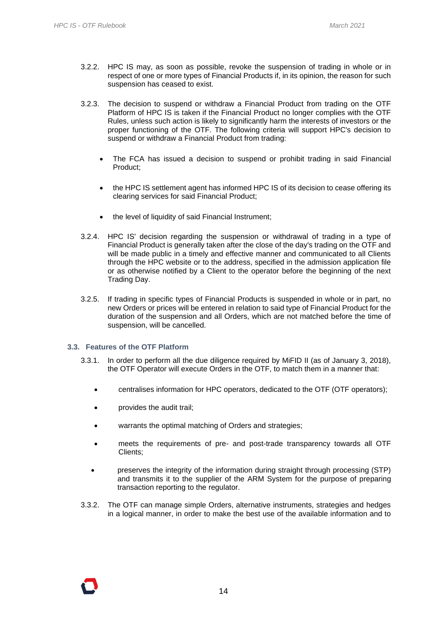- 3.2.2. HPC IS may, as soon as possible, revoke the suspension of trading in whole or in respect of one or more types of Financial Products if, in its opinion, the reason for such suspension has ceased to exist.
- 3.2.3. The decision to suspend or withdraw a Financial Product from trading on the OTF Platform of HPC IS is taken if the Financial Product no longer complies with the OTF Rules, unless such action is likely to significantly harm the interests of investors or the proper functioning of the OTF. The following criteria will support HPC's decision to suspend or withdraw a Financial Product from trading:
	- The FCA has issued a decision to suspend or prohibit trading in said Financial Product;
	- the HPC IS settlement agent has informed HPC IS of its decision to cease offering its clearing services for said Financial Product;
	- the level of liquidity of said Financial Instrument;
- 3.2.4. HPC IS' decision regarding the suspension or withdrawal of trading in a type of Financial Product is generally taken after the close of the day's trading on the OTF and will be made public in a timely and effective manner and communicated to all Clients through the HPC website or to the address, specified in the admission application file or as otherwise notified by a Client to the operator before the beginning of the next Trading Day.
- 3.2.5. If trading in specific types of Financial Products is suspended in whole or in part, no new Orders or prices will be entered in relation to said type of Financial Product for the duration of the suspension and all Orders, which are not matched before the time of suspension, will be cancelled.

#### <span id="page-13-0"></span>**3.3. Features of the OTF Platform**

- 3.3.1. In order to perform all the due diligence required by MiFID II (as of January 3, 2018), the OTF Operator will execute Orders in the OTF, to match them in a manner that:
	- centralises information for HPC operators, dedicated to the OTF (OTF operators);
	- provides the audit trail;
	- warrants the optimal matching of Orders and strategies;
	- meets the requirements of pre- and post-trade transparency towards all OTF Clients;
	- preserves the integrity of the information during straight through processing (STP) and transmits it to the supplier of the ARM System for the purpose of preparing transaction reporting to the regulator.
- 3.3.2. The OTF can manage simple Orders, alternative instruments, strategies and hedges in a logical manner, in order to make the best use of the available information and to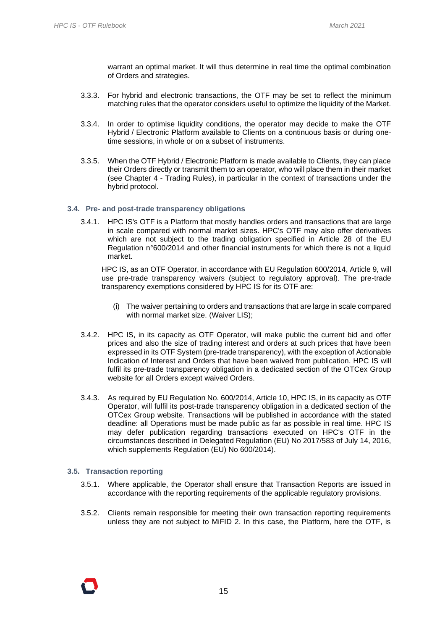warrant an optimal market. It will thus determine in real time the optimal combination of Orders and strategies.

- 3.3.3. For hybrid and electronic transactions, the OTF may be set to reflect the minimum matching rules that the operator considers useful to optimize the liquidity of the Market.
- 3.3.4. In order to optimise liquidity conditions, the operator may decide to make the OTF Hybrid / Electronic Platform available to Clients on a continuous basis or during onetime sessions, in whole or on a subset of instruments.
- 3.3.5. When the OTF Hybrid / Electronic Platform is made available to Clients, they can place their Orders directly or transmit them to an operator, who will place them in their market (see Chapter 4 - Trading Rules), in particular in the context of transactions under the hybrid protocol.

#### <span id="page-14-0"></span>**3.4. Pre- and post-trade transparency obligations**

3.4.1. HPC IS's OTF is a Platform that mostly handles orders and transactions that are large in scale compared with normal market sizes. HPC's OTF may also offer derivatives which are not subject to the trading obligation specified in Article 28 of the EU Regulation n°600/2014 and other financial instruments for which there is not a liquid market.

HPC IS, as an OTF Operator, in accordance with EU Regulation 600/2014, Article 9, will use pre-trade transparency waivers (subject to regulatory approval). The pre-trade transparency exemptions considered by HPC IS for its OTF are:

- (i) The waiver pertaining to orders and transactions that are large in scale compared with normal market size. (Waiver LIS);
- 3.4.2. HPC IS, in its capacity as OTF Operator, will make public the current bid and offer prices and also the size of trading interest and orders at such prices that have been expressed in its OTF System (pre-trade transparency), with the exception of Actionable Indication of Interest and Orders that have been waived from publication. HPC IS will fulfil its pre-trade transparency obligation in a dedicated section of the OTCex Group website for all Orders except waived Orders.
- 3.4.3. As required by EU Regulation No. 600/2014, Article 10, HPC IS, in its capacity as OTF Operator, will fulfil its post-trade transparency obligation in a dedicated section of the OTCex Group website. Transactions will be published in accordance with the stated deadline: all Operations must be made public as far as possible in real time. HPC IS may defer publication regarding transactions executed on HPC's OTF in the circumstances described in Delegated Regulation (EU) No 2017/583 of July 14, 2016, which supplements Regulation (EU) No 600/2014).

#### <span id="page-14-1"></span>**3.5. Transaction reporting**

- 3.5.1. Where applicable, the Operator shall ensure that Transaction Reports are issued in accordance with the reporting requirements of the applicable regulatory provisions.
- 3.5.2. Clients remain responsible for meeting their own transaction reporting requirements unless they are not subject to MiFID 2. In this case, the Platform, here the OTF, is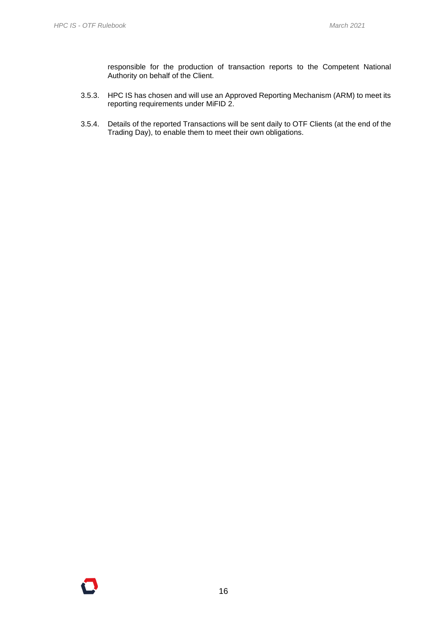responsible for the production of transaction reports to the Competent National Authority on behalf of the Client.

- 3.5.3. HPC IS has chosen and will use an Approved Reporting Mechanism (ARM) to meet its reporting requirements under MiFID 2.
- 3.5.4. Details of the reported Transactions will be sent daily to OTF Clients (at the end of the Trading Day), to enable them to meet their own obligations.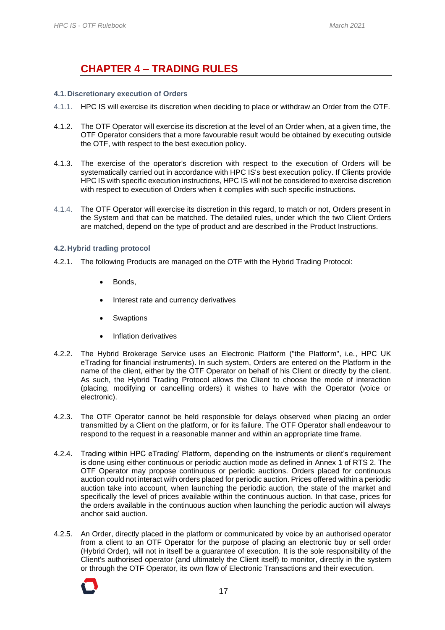### **CHAPTER 4 – TRADING RULES**

#### <span id="page-16-1"></span><span id="page-16-0"></span>**4.1. Discretionary execution of Orders**

- 4.1.1. HPC IS will exercise its discretion when deciding to place or withdraw an Order from the OTF.
- 4.1.2. The OTF Operator will exercise its discretion at the level of an Order when, at a given time, the OTF Operator considers that a more favourable result would be obtained by executing outside the OTF, with respect to the best execution policy.
- 4.1.3. The exercise of the operator's discretion with respect to the execution of Orders will be systematically carried out in accordance with HPC IS's best execution policy. If Clients provide HPC IS with specific execution instructions, HPC IS will not be considered to exercise discretion with respect to execution of Orders when it complies with such specific instructions.
- 4.1.4. The OTF Operator will exercise its discretion in this regard, to match or not, Orders present in the System and that can be matched. The detailed rules, under which the two Client Orders are matched, depend on the type of product and are described in the Product Instructions.

#### <span id="page-16-2"></span>**4.2. Hybrid trading protocol**

- 4.2.1. The following Products are managed on the OTF with the Hybrid Trading Protocol:
	- Bonds.
	- Interest rate and currency derivatives
	- **Swaptions**
	- Inflation derivatives
- 4.2.2. The Hybrid Brokerage Service uses an Electronic Platform ("the Platform", i.e., HPC UK eTrading for financial instruments). In such system, Orders are entered on the Platform in the name of the client, either by the OTF Operator on behalf of his Client or directly by the client. As such, the Hybrid Trading Protocol allows the Client to choose the mode of interaction (placing, modifying or cancelling orders) it wishes to have with the Operator (voice or electronic).
- 4.2.3. The OTF Operator cannot be held responsible for delays observed when placing an order transmitted by a Client on the platform, or for its failure. The OTF Operator shall endeavour to respond to the request in a reasonable manner and within an appropriate time frame.
- 4.2.4. Trading within HPC eTrading' Platform, depending on the instruments or client's requirement is done using either continuous or periodic auction mode as defined in Annex 1 of RTS 2. The OTF Operator may propose continuous or periodic auctions. Orders placed for continuous auction could not interact with orders placed for periodic auction. Prices offered within a periodic auction take into account, when launching the periodic auction, the state of the market and specifically the level of prices available within the continuous auction. In that case, prices for the orders available in the continuous auction when launching the periodic auction will always anchor said auction.
- 4.2.5. An Order, directly placed in the platform or communicated by voice by an authorised operator from a client to an OTF Operator for the purpose of placing an electronic buy or sell order (Hybrid Order), will not in itself be a guarantee of execution. It is the sole responsibility of the Client's authorised operator (and ultimately the Client itself) to monitor, directly in the system or through the OTF Operator, its own flow of Electronic Transactions and their execution.

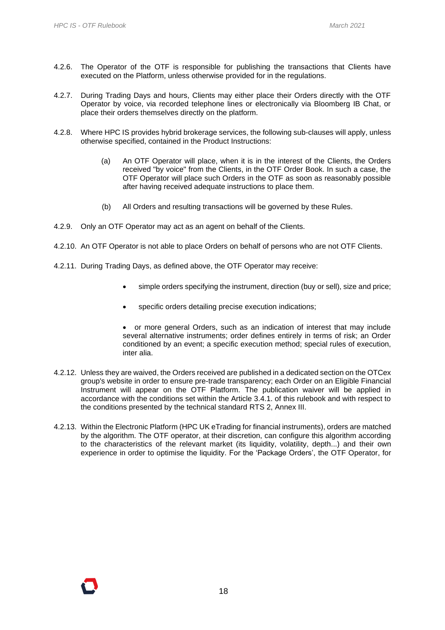- 4.2.6. The Operator of the OTF is responsible for publishing the transactions that Clients have executed on the Platform, unless otherwise provided for in the regulations.
- 4.2.7. During Trading Days and hours, Clients may either place their Orders directly with the OTF Operator by voice, via recorded telephone lines or electronically via Bloomberg IB Chat, or place their orders themselves directly on the platform.
- 4.2.8. Where HPC IS provides hybrid brokerage services, the following sub-clauses will apply, unless otherwise specified, contained in the Product Instructions:
	- (a) An OTF Operator will place, when it is in the interest of the Clients, the Orders received "by voice" from the Clients, in the OTF Order Book. In such a case, the OTF Operator will place such Orders in the OTF as soon as reasonably possible after having received adequate instructions to place them.
	- (b) All Orders and resulting transactions will be governed by these Rules.
- 4.2.9. Only an OTF Operator may act as an agent on behalf of the Clients.
- 4.2.10. An OTF Operator is not able to place Orders on behalf of persons who are not OTF Clients.
- 4.2.11. During Trading Days, as defined above, the OTF Operator may receive:
	- simple orders specifying the instrument, direction (buy or sell), size and price;
	- specific orders detailing precise execution indications;

• or more general Orders, such as an indication of interest that may include several alternative instruments; order defines entirely in terms of risk; an Order conditioned by an event; a specific execution method; special rules of execution, inter alia.

- 4.2.12. Unless they are waived, the Orders received are published in a dedicated section on the OTCex group's website in order to ensure pre-trade transparency; each Order on an Eligible Financial Instrument will appear on the OTF Platform. The publication waiver will be applied in accordance with the conditions set within the Article 3.4.1. of this rulebook and with respect to the conditions presented by the technical standard RTS 2, Annex III.
- 4.2.13. Within the Electronic Platform (HPC UK eTrading for financial instruments), orders are matched by the algorithm. The OTF operator, at their discretion, can configure this algorithm according to the characteristics of the relevant market (its liquidity, volatility, depth...) and their own experience in order to optimise the liquidity. For the 'Package Orders', the OTF Operator, for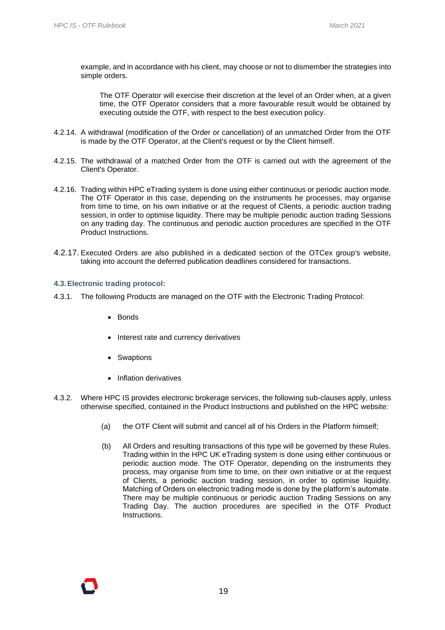example, and in accordance with his client, may choose or not to dismember the strategies into simple orders.

The OTF Operator will exercise their discretion at the level of an Order when, at a given time, the OTF Operator considers that a more favourable result would be obtained by executing outside the OTF, with respect to the best execution policy.

- 4.2.14. A withdrawal (modification of the Order or cancellation) of an unmatched Order from the OTF is made by the OTF Operator, at the Client's request or by the Client himself.
- 4.2.15. The withdrawal of a matched Order from the OTF is carried out with the agreement of the Client's Operator.
- 4.2.16. Trading within HPC eTrading system is done using either continuous or periodic auction mode. The OTF Operator in this case, depending on the instruments he processes, may organise from time to time, on his own initiative or at the request of Clients, a periodic auction trading session, in order to optimise liquidity. There may be multiple periodic auction trading Sessions on any trading day. The continuous and periodic auction procedures are specified in the OTF Product Instructions.
- 4.2.17. Executed Orders are also published in a dedicated section of the OTCex group's website, taking into account the deferred publication deadlines considered for transactions.

#### <span id="page-18-0"></span>**4.3.Electronic trading protocol:**

- 4.3.1. The following Products are managed on the OTF with the Electronic Trading Protocol:
	- Bonds
	- Interest rate and currency derivatives
	- Swaptions
	- Inflation derivatives
- 4.3.2. Where HPC IS provides electronic brokerage services, the following sub-clauses apply, unless otherwise specified, contained in the Product Instructions and published on the HPC website:
	- (a) the OTF Client will submit and cancel all of his Orders in the Platform himself;
	- (b) All Orders and resulting transactions of this type will be governed by these Rules. Trading within In the HPC UK eTrading system is done using either continuous or periodic auction mode. The OTF Operator, depending on the instruments they process, may organise from time to time, on their own initiative or at the request of Clients, a periodic auction trading session, in order to optimise liquidity. Matching of Orders on electronic trading mode is done by the platform's automate. There may be multiple continuous or periodic auction Trading Sessions on any Trading Day. The auction procedures are specified in the OTF Product Instructions.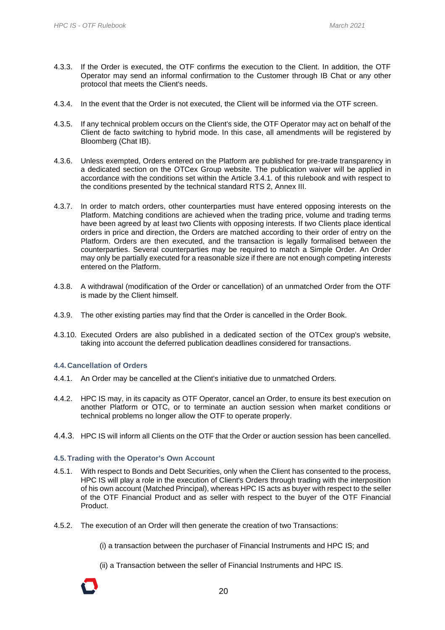- 4.3.3. If the Order is executed, the OTF confirms the execution to the Client. In addition, the OTF Operator may send an informal confirmation to the Customer through IB Chat or any other protocol that meets the Client's needs.
- 4.3.4. In the event that the Order is not executed, the Client will be informed via the OTF screen.
- 4.3.5. If any technical problem occurs on the Client's side, the OTF Operator may act on behalf of the Client de facto switching to hybrid mode. In this case, all amendments will be registered by Bloomberg (Chat IB).
- 4.3.6. Unless exempted, Orders entered on the Platform are published for pre-trade transparency in a dedicated section on the OTCex Group website. The publication waiver will be applied in accordance with the conditions set within the Article 3.4.1. of this rulebook and with respect to the conditions presented by the technical standard RTS 2, Annex III.
- 4.3.7. In order to match orders, other counterparties must have entered opposing interests on the Platform. Matching conditions are achieved when the trading price, volume and trading terms have been agreed by at least two Clients with opposing interests. If two Clients place identical orders in price and direction, the Orders are matched according to their order of entry on the Platform. Orders are then executed, and the transaction is legally formalised between the counterparties. Several counterparties may be required to match a Simple Order. An Order may only be partially executed for a reasonable size if there are not enough competing interests entered on the Platform.
- 4.3.8. A withdrawal (modification of the Order or cancellation) of an unmatched Order from the OTF is made by the Client himself.
- 4.3.9. The other existing parties may find that the Order is cancelled in the Order Book.
- 4.3.10. Executed Orders are also published in a dedicated section of the OTCex group's website, taking into account the deferred publication deadlines considered for transactions.

#### <span id="page-19-0"></span>**4.4. Cancellation of Orders**

- 4.4.1. An Order may be cancelled at the Client's initiative due to unmatched Orders.
- 4.4.2. HPC IS may, in its capacity as OTF Operator, cancel an Order, to ensure its best execution on another Platform or OTC, or to terminate an auction session when market conditions or technical problems no longer allow the OTF to operate properly.
- 4.4.3. HPC IS will inform all Clients on the OTF that the Order or auction session has been cancelled.

#### <span id="page-19-1"></span>**4.5.Trading with the Operator's Own Account**

- 4.5.1. With respect to Bonds and Debt Securities, only when the Client has consented to the process, HPC IS will play a role in the execution of Client's Orders through trading with the interposition of his own account (Matched Principal), whereas HPC IS acts as buyer with respect to the seller of the OTF Financial Product and as seller with respect to the buyer of the OTF Financial Product.
- 4.5.2. The execution of an Order will then generate the creation of two Transactions:

(i) a transaction between the purchaser of Financial Instruments and HPC IS; and

(ii) a Transaction between the seller of Financial Instruments and HPC IS.

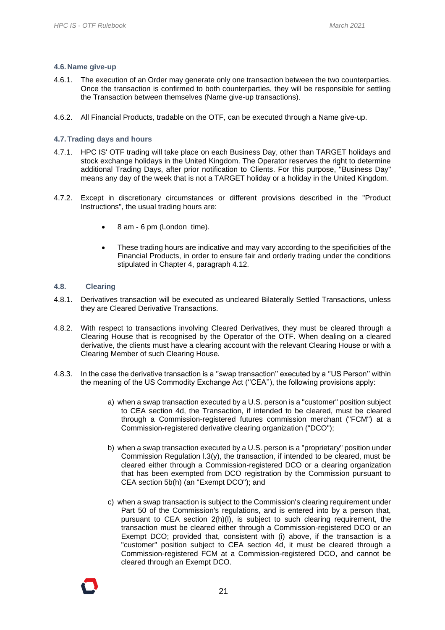#### <span id="page-20-0"></span>**4.6. Name give-up**

- 4.6.1. The execution of an Order may generate only one transaction between the two counterparties. Once the transaction is confirmed to both counterparties, they will be responsible for settling the Transaction between themselves (Name give-up transactions).
- 4.6.2. All Financial Products, tradable on the OTF, can be executed through a Name give-up.

#### <span id="page-20-1"></span>**4.7.Trading days and hours**

- 4.7.1. HPC IS' OTF trading will take place on each Business Day, other than TARGET holidays and stock exchange holidays in the United Kingdom. The Operator reserves the right to determine additional Trading Days, after prior notification to Clients. For this purpose, "Business Day" means any day of the week that is not a TARGET holiday or a holiday in the United Kingdom.
- 4.7.2. Except in discretionary circumstances or different provisions described in the "Product Instructions", the usual trading hours are:
	- 8 am 6 pm (London time).
	- These trading hours are indicative and may vary according to the specificities of the Financial Products, in order to ensure fair and orderly trading under the conditions stipulated in Chapter 4, paragraph 4.12.

#### <span id="page-20-2"></span>**4.8. Clearing**

- 4.8.1. Derivatives transaction will be executed as uncleared Bilaterally Settled Transactions, unless they are Cleared Derivative Transactions.
- 4.8.2. With respect to transactions involving Cleared Derivatives, they must be cleared through a Clearing House that is recognised by the Operator of the OTF. When dealing on a cleared derivative, the clients must have a clearing account with the relevant Clearing House or with a Clearing Member of such Clearing House.
- 4.8.3. In the case the derivative transaction is a ''swap transaction'' executed by a ''US Person'' within the meaning of the US Commodity Exchange Act (''CEA''), the following provisions apply:
	- a) when a swap transaction executed by a U.S. person is a "customer" position subject to CEA section 4d, the Transaction, if intended to be cleared, must be cleared through a Commission-registered futures commission merchant ("FCM") at a Commission-registered derivative clearing organization ("DCO");
	- b) when a swap transaction executed by a U.S. person is a "proprietary" position under Commission Regulation I.3(y), the transaction, if intended to be cleared, must be cleared either through a Commission-registered DCO or a clearing organization that has been exempted from DCO registration by the Commission pursuant to CEA section 5b(h) (an "Exempt DCO"); and
	- c) when a swap transaction is subject to the Commission's clearing requirement under Part 50 of the Commission's regulations, and is entered into by a person that, pursuant to CEA section 2(h)(l), is subject to such clearing requirement, the transaction must be cleared either through a Commission-registered DCO or an Exempt DCO; provided that, consistent with (i) above, if the transaction is a "customer" position subject to CEA section 4d, it must be cleared through a Commission-registered FCM at a Commission-registered DCO, and cannot be cleared through an Exempt DCO.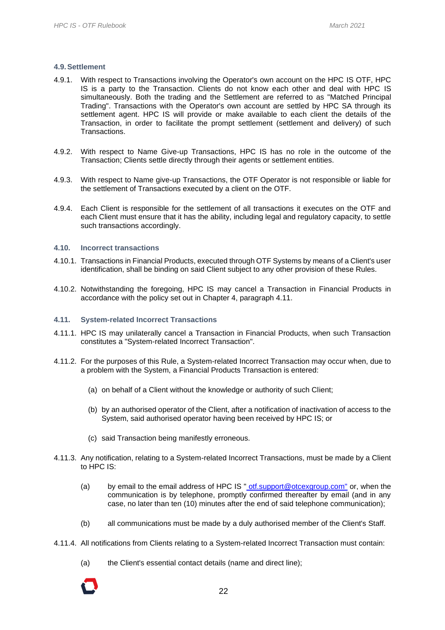#### <span id="page-21-0"></span>**4.9.Settlement**

- 4.9.1. With respect to Transactions involving the Operator's own account on the HPC IS OTF, HPC IS is a party to the Transaction. Clients do not know each other and deal with HPC IS simultaneously. Both the trading and the Settlement are referred to as "Matched Principal Trading". Transactions with the Operator's own account are settled by HPC SA through its settlement agent. HPC IS will provide or make available to each client the details of the Transaction, in order to facilitate the prompt settlement (settlement and delivery) of such Transactions.
- 4.9.2. With respect to Name Give-up Transactions, HPC IS has no role in the outcome of the Transaction; Clients settle directly through their agents or settlement entities.
- 4.9.3. With respect to Name give-up Transactions, the OTF Operator is not responsible or liable for the settlement of Transactions executed by a client on the OTF.
- 4.9.4. Each Client is responsible for the settlement of all transactions it executes on the OTF and each Client must ensure that it has the ability, including legal and regulatory capacity, to settle such transactions accordingly.

#### <span id="page-21-1"></span>**4.10. Incorrect transactions**

- 4.10.1. Transactions in Financial Products, executed through OTF Systems by means of a Client's user identification, shall be binding on said Client subject to any other provision of these Rules.
- 4.10.2. Notwithstanding the foregoing, HPC IS may cancel a Transaction in Financial Products in accordance with the policy set out in Chapter 4, paragraph 4.11.

#### <span id="page-21-2"></span>**4.11. System-related Incorrect Transactions**

- 4.11.1. HPC IS may unilaterally cancel a Transaction in Financial Products, when such Transaction constitutes a "System-related Incorrect Transaction".
- 4.11.2. For the purposes of this Rule, a System-related Incorrect Transaction may occur when, due to a problem with the System, a Financial Products Transaction is entered:
	- (a) on behalf of a Client without the knowledge or authority of such Client;
	- (b) by an authorised operator of the Client, after a notification of inactivation of access to the System, said authorised operator having been received by HPC IS; or
	- (c) said Transaction being manifestly erroneous.
- 4.11.3. Any notification, relating to a System-related Incorrect Transactions, must be made by a Client to HPC IS:
	- (a) by email to the email address of HPC IS " $ott.support@otcexgroup.com$ " or, when the</u> communication is by telephone, promptly confirmed thereafter by email (and in any case, no later than ten (10) minutes after the end of said telephone communication);
	- (b) all communications must be made by a duly authorised member of the Client's Staff.
- 4.11.4. All notifications from Clients relating to a System-related Incorrect Transaction must contain:
	- (a) the Client's essential contact details (name and direct line);

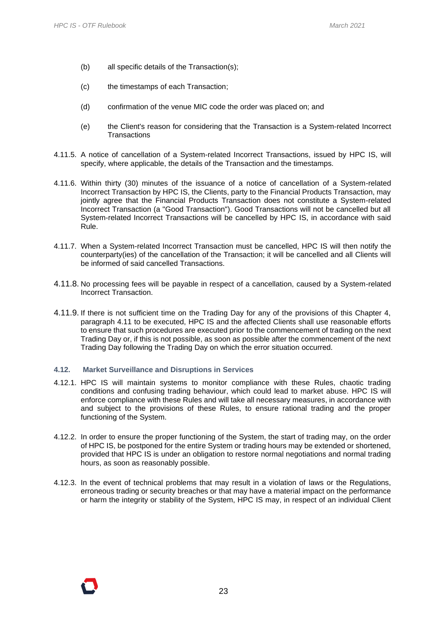- (b) all specific details of the Transaction(s);
- (c) the timestamps of each Transaction;
- (d) confirmation of the venue MIC code the order was placed on; and
- (e) the Client's reason for considering that the Transaction is a System-related Incorrect **Transactions**
- 4.11.5. A notice of cancellation of a System-related Incorrect Transactions, issued by HPC IS, will specify, where applicable, the details of the Transaction and the timestamps.
- 4.11.6. Within thirty (30) minutes of the issuance of a notice of cancellation of a System-related Incorrect Transaction by HPC IS, the Clients, party to the Financial Products Transaction, may jointly agree that the Financial Products Transaction does not constitute a System-related Incorrect Transaction (a "Good Transaction"). Good Transactions will not be cancelled but all System-related Incorrect Transactions will be cancelled by HPC IS, in accordance with said Rule.
- 4.11.7. When a System-related Incorrect Transaction must be cancelled, HPC IS will then notify the counterparty(ies) of the cancellation of the Transaction; it will be cancelled and all Clients will be informed of said cancelled Transactions.
- 4.11.8. No processing fees will be payable in respect of a cancellation, caused by a System-related Incorrect Transaction.
- 4.11.9. If there is not sufficient time on the Trading Day for any of the provisions of this Chapter 4, paragraph 4.11 to be executed, HPC IS and the affected Clients shall use reasonable efforts to ensure that such procedures are executed prior to the commencement of trading on the next Trading Day or, if this is not possible, as soon as possible after the commencement of the next Trading Day following the Trading Day on which the error situation occurred.

#### <span id="page-22-0"></span>**4.12. Market Surveillance and Disruptions in Services**

- 4.12.1. HPC IS will maintain systems to monitor compliance with these Rules, chaotic trading conditions and confusing trading behaviour, which could lead to market abuse. HPC IS will enforce compliance with these Rules and will take all necessary measures, in accordance with and subject to the provisions of these Rules, to ensure rational trading and the proper functioning of the System.
- 4.12.2. In order to ensure the proper functioning of the System, the start of trading may, on the order of HPC IS, be postponed for the entire System or trading hours may be extended or shortened, provided that HPC IS is under an obligation to restore normal negotiations and normal trading hours, as soon as reasonably possible.
- 4.12.3. In the event of technical problems that may result in a violation of laws or the Regulations, erroneous trading or security breaches or that may have a material impact on the performance or harm the integrity or stability of the System, HPC IS may, in respect of an individual Client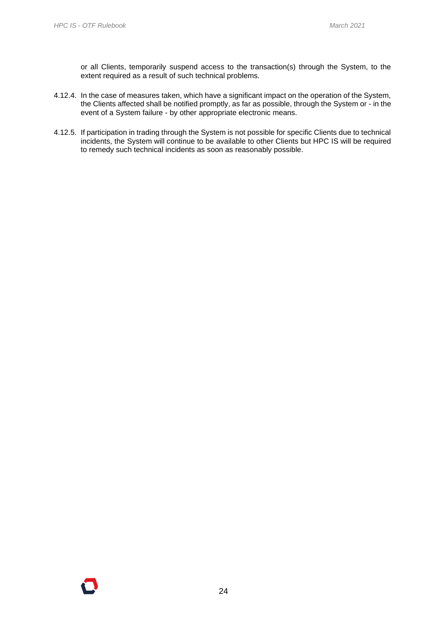or all Clients, temporarily suspend access to the transaction(s) through the System, to the extent required as a result of such technical problems.

- 4.12.4. In the case of measures taken, which have a significant impact on the operation of the System, the Clients affected shall be notified promptly, as far as possible, through the System or - in the event of a System failure - by other appropriate electronic means.
- 4.12.5. If participation in trading through the System is not possible for specific Clients due to technical incidents, the System will continue to be available to other Clients but HPC IS will be required to remedy such technical incidents as soon as reasonably possible.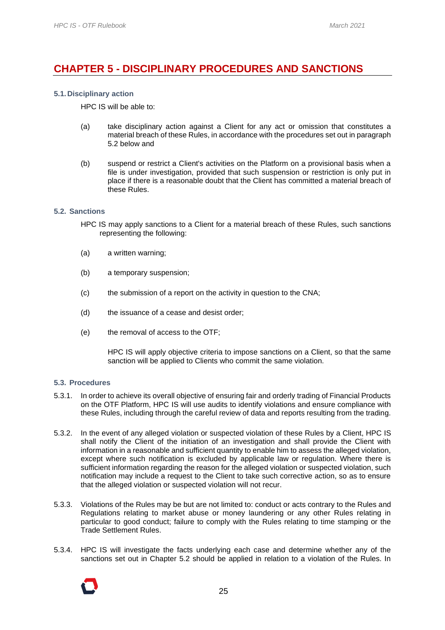### <span id="page-24-0"></span>**CHAPTER 5 - DISCIPLINARY PROCEDURES AND SANCTIONS**

#### <span id="page-24-1"></span>**5.1. Disciplinary action**

HPC IS will be able to:

- (a) take disciplinary action against a Client for any act or omission that constitutes a material breach of these Rules, in accordance with the procedures set out in paragraph 5.2 below and
- (b) suspend or restrict a Client's activities on the Platform on a provisional basis when a file is under investigation, provided that such suspension or restriction is only put in place if there is a reasonable doubt that the Client has committed a material breach of these Rules.

#### <span id="page-24-2"></span>**5.2. Sanctions**

- HPC IS may apply sanctions to a Client for a material breach of these Rules, such sanctions representing the following:
- (a) a written warning;
- (b) a temporary suspension;
- (c) the submission of a report on the activity in question to the CNA;
- (d) the issuance of a cease and desist order;
- (e) the removal of access to the OTF;

HPC IS will apply objective criteria to impose sanctions on a Client, so that the same sanction will be applied to Clients who commit the same violation.

#### <span id="page-24-3"></span>**5.3. Procedures**

- 5.3.1. In order to achieve its overall objective of ensuring fair and orderly trading of Financial Products on the OTF Platform, HPC IS will use audits to identify violations and ensure compliance with these Rules, including through the careful review of data and reports resulting from the trading.
- 5.3.2. In the event of any alleged violation or suspected violation of these Rules by a Client, HPC IS shall notify the Client of the initiation of an investigation and shall provide the Client with information in a reasonable and sufficient quantity to enable him to assess the alleged violation, except where such notification is excluded by applicable law or regulation. Where there is sufficient information regarding the reason for the alleged violation or suspected violation, such notification may include a request to the Client to take such corrective action, so as to ensure that the alleged violation or suspected violation will not recur.
- 5.3.3. Violations of the Rules may be but are not limited to: conduct or acts contrary to the Rules and Regulations relating to market abuse or money laundering or any other Rules relating in particular to good conduct; failure to comply with the Rules relating to time stamping or the Trade Settlement Rules.
- 5.3.4. HPC IS will investigate the facts underlying each case and determine whether any of the sanctions set out in Chapter 5.2 should be applied in relation to a violation of the Rules. In

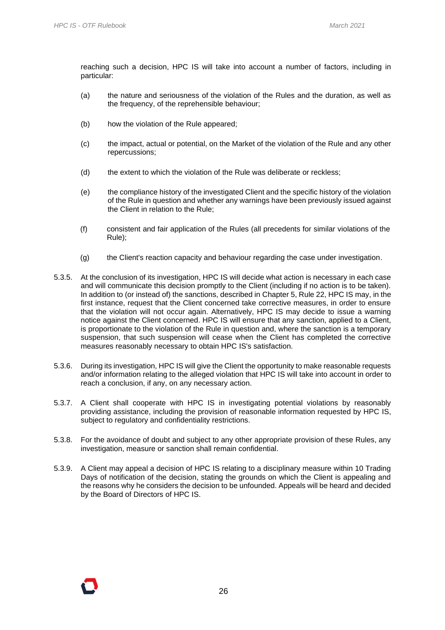reaching such a decision, HPC IS will take into account a number of factors, including in particular:

- (a) the nature and seriousness of the violation of the Rules and the duration, as well as the frequency, of the reprehensible behaviour;
- (b) how the violation of the Rule appeared;
- (c) the impact, actual or potential, on the Market of the violation of the Rule and any other repercussions;
- (d) the extent to which the violation of the Rule was deliberate or reckless;
- (e) the compliance history of the investigated Client and the specific history of the violation of the Rule in question and whether any warnings have been previously issued against the Client in relation to the Rule;
- (f) consistent and fair application of the Rules (all precedents for similar violations of the Rule);
- (g) the Client's reaction capacity and behaviour regarding the case under investigation.
- 5.3.5. At the conclusion of its investigation, HPC IS will decide what action is necessary in each case and will communicate this decision promptly to the Client (including if no action is to be taken). In addition to (or instead of) the sanctions, described in Chapter 5, Rule 22, HPC IS may, in the first instance, request that the Client concerned take corrective measures, in order to ensure that the violation will not occur again. Alternatively, HPC IS may decide to issue a warning notice against the Client concerned. HPC IS will ensure that any sanction, applied to a Client, is proportionate to the violation of the Rule in question and, where the sanction is a temporary suspension, that such suspension will cease when the Client has completed the corrective measures reasonably necessary to obtain HPC IS's satisfaction.
- 5.3.6. During its investigation, HPC IS will give the Client the opportunity to make reasonable requests and/or information relating to the alleged violation that HPC IS will take into account in order to reach a conclusion, if any, on any necessary action.
- 5.3.7. A Client shall cooperate with HPC IS in investigating potential violations by reasonably providing assistance, including the provision of reasonable information requested by HPC IS, subject to regulatory and confidentiality restrictions.
- 5.3.8. For the avoidance of doubt and subject to any other appropriate provision of these Rules, any investigation, measure or sanction shall remain confidential.
- 5.3.9. A Client may appeal a decision of HPC IS relating to a disciplinary measure within 10 Trading Days of notification of the decision, stating the grounds on which the Client is appealing and the reasons why he considers the decision to be unfounded. Appeals will be heard and decided by the Board of Directors of HPC IS.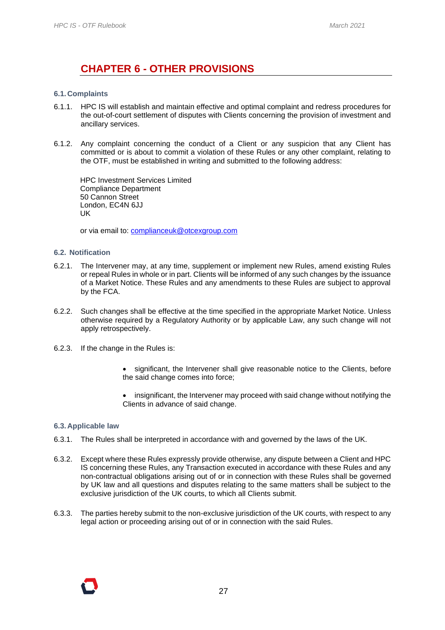### **CHAPTER 6 - OTHER PROVISIONS**

#### <span id="page-26-1"></span><span id="page-26-0"></span>**6.1. Complaints**

- 6.1.1. HPC IS will establish and maintain effective and optimal complaint and redress procedures for the out-of-court settlement of disputes with Clients concerning the provision of investment and ancillary services.
- 6.1.2. Any complaint concerning the conduct of a Client or any suspicion that any Client has committed or is about to commit a violation of these Rules or any other complaint, relating to the OTF, must be established in writing and submitted to the following address:

HPC Investment Services Limited Compliance Department 50 Cannon Street London, EC4N 6JJ UK

or via email to: [complianceuk@otcexgroup.com](file:///C:/TRASE/Fichiers/Communications%20européennes/2018/03-Mars%202018/09.03.2018/FR-FR/Écrire%20à%20:%20otf.compliance@otcexgroup.com)

#### <span id="page-26-2"></span>**6.2. Notification**

- 6.2.1. The Intervener may, at any time, supplement or implement new Rules, amend existing Rules or repeal Rules in whole or in part. Clients will be informed of any such changes by the issuance of a Market Notice. These Rules and any amendments to these Rules are subject to approval by the FCA.
- 6.2.2. Such changes shall be effective at the time specified in the appropriate Market Notice. Unless otherwise required by a Regulatory Authority or by applicable Law, any such change will not apply retrospectively.
- 6.2.3. If the change in the Rules is:
	- significant, the Intervener shall give reasonable notice to the Clients, before the said change comes into force;
	- insignificant, the Intervener may proceed with said change without notifying the Clients in advance of said change.

#### <span id="page-26-3"></span>**6.3. Applicable law**

- 6.3.1. The Rules shall be interpreted in accordance with and governed by the laws of the UK.
- 6.3.2. Except where these Rules expressly provide otherwise, any dispute between a Client and HPC IS concerning these Rules, any Transaction executed in accordance with these Rules and any non-contractual obligations arising out of or in connection with these Rules shall be governed by UK law and all questions and disputes relating to the same matters shall be subject to the exclusive jurisdiction of the UK courts, to which all Clients submit.
- 6.3.3. The parties hereby submit to the non-exclusive jurisdiction of the UK courts, with respect to any legal action or proceeding arising out of or in connection with the said Rules.